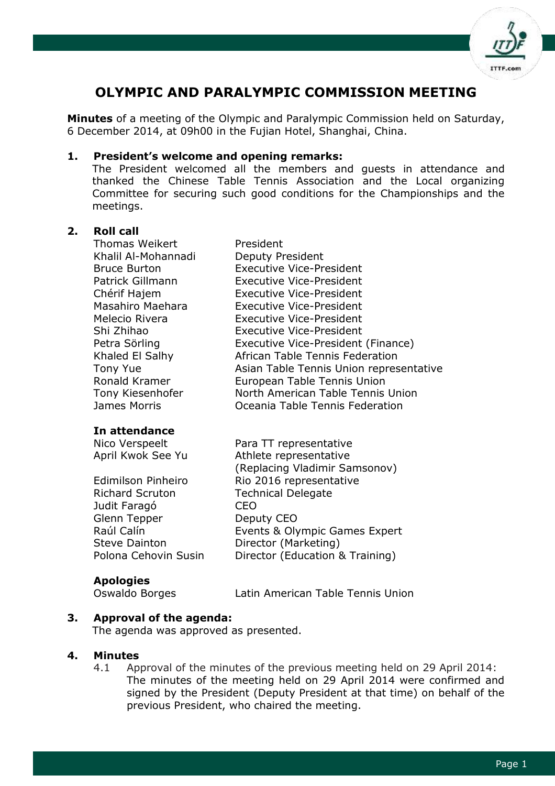

# **OLYMPIC AND PARALYMPIC COMMISSION MEETING**

**Minutes** of a meeting of the Olympic and Paralympic Commission held on Saturday, 6 December 2014, at 09h00 in the Fujian Hotel, Shanghai, China.

#### **1. President's welcome and opening remarks:**

The President welcomed all the members and guests in attendance and thanked the Chinese Table Tennis Association and the Local organizing Committee for securing such good conditions for the Championships and the meetings.

#### **2. Roll call**

Thomas Weikert President Khalil Al-Mohannadi Bruce Burton Patrick Gillmann Chérif Hajem Masahiro Maehara Melecio Rivera Shi Zhihao Petra Sörling Khaled El Salhy Tony Yue Ronald Kramer Tony Kiesenhofer

#### **In attendance**

Richard Scruton Technical Delegate Judit Faragó CEO Glenn Tepper Deputy CEO Steve Dainton **Director (Marketing)** 

#### **Apologies**

Oswaldo Borges Latin American Table Tennis Union

## **3. Approval of the agenda:**

The agenda was approved as presented.

#### **4. Minutes**

4.1 Approval of the minutes of the previous meeting held on 29 April 2014: The minutes of the meeting held on 29 April 2014 were confirmed and signed by the President (Deputy President at that time) on behalf of the previous President, who chaired the meeting.

| THUIHAS WEIKEIT     | President                               |
|---------------------|-----------------------------------------|
| Khalil Al-Mohannadi | Deputy President                        |
| <b>Bruce Burton</b> | <b>Executive Vice-President</b>         |
| Patrick Gillmann    | <b>Executive Vice-President</b>         |
| Chérif Hajem        | <b>Executive Vice-President</b>         |
| Masahiro Maehara    | <b>Executive Vice-President</b>         |
| Melecio Rivera      | <b>Executive Vice-President</b>         |
| Shi Zhihao          | <b>Executive Vice-President</b>         |
| Petra Sörling       | Executive Vice-President (Finance)      |
| Khaled El Salhy     | African Table Tennis Federation         |
| <b>Tony Yue</b>     | Asian Table Tennis Union representative |
| Ronald Kramer       | European Table Tennis Union             |
| Tony Kiesenhofer    | North American Table Tennis Union       |
| James Morris        | Oceania Table Tennis Federation         |

Nico Verspeelt Para TT representative April Kwok See Yu Athlete representative (Replacing Vladimir Samsonov) Edimilson Pinheiro Rio 2016 representative Raúl Calín Events & Olympic Games Expert Polona Cehovin Susin Director (Education & Training)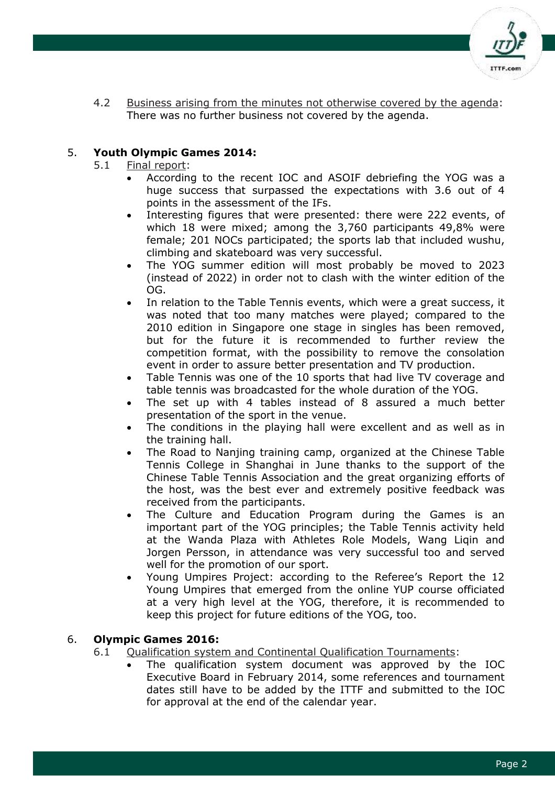

4.2 Business arising from the minutes not otherwise covered by the agenda: There was no further business not covered by the agenda.

## 5. **Youth Olympic Games 2014:**

- 5.1 Final report:
	- According to the recent IOC and ASOIF debriefing the YOG was a huge success that surpassed the expectations with 3.6 out of 4 points in the assessment of the IFs.
	- Interesting figures that were presented: there were 222 events, of which 18 were mixed; among the 3,760 participants 49,8% were female; 201 NOCs participated; the sports lab that included wushu, climbing and skateboard was very successful.
	- The YOG summer edition will most probably be moved to 2023 (instead of 2022) in order not to clash with the winter edition of the OG.
	- In relation to the Table Tennis events, which were a great success, it was noted that too many matches were played; compared to the 2010 edition in Singapore one stage in singles has been removed, but for the future it is recommended to further review the competition format, with the possibility to remove the consolation event in order to assure better presentation and TV production.
	- Table Tennis was one of the 10 sports that had live TV coverage and table tennis was broadcasted for the whole duration of the YOG.
	- The set up with 4 tables instead of 8 assured a much better presentation of the sport in the venue.
	- The conditions in the playing hall were excellent and as well as in the training hall.
	- The Road to Nanjing training camp, organized at the Chinese Table Tennis College in Shanghai in June thanks to the support of the Chinese Table Tennis Association and the great organizing efforts of the host, was the best ever and extremely positive feedback was received from the participants.
	- The Culture and Education Program during the Games is an important part of the YOG principles; the Table Tennis activity held at the Wanda Plaza with Athletes Role Models, Wang Liqin and Jorgen Persson, in attendance was very successful too and served well for the promotion of our sport.
	- Young Umpires Project: according to the Referee's Report the 12 Young Umpires that emerged from the online YUP course officiated at a very high level at the YOG, therefore, it is recommended to keep this project for future editions of the YOG, too.

## 6. **Olympic Games 2016:**

- 6.1 Qualification system and Continental Qualification Tournaments:
	- The qualification system document was approved by the IOC Executive Board in February 2014, some references and tournament dates still have to be added by the ITTF and submitted to the IOC for approval at the end of the calendar year.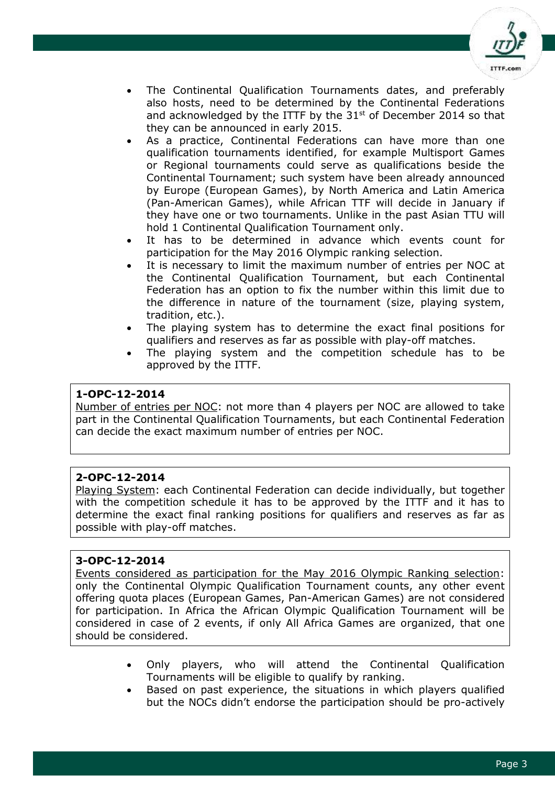

- The Continental Qualification Tournaments dates, and preferably also hosts, need to be determined by the Continental Federations and acknowledged by the ITTF by the  $31<sup>st</sup>$  of December 2014 so that they can be announced in early 2015.
- As a practice, Continental Federations can have more than one qualification tournaments identified, for example Multisport Games or Regional tournaments could serve as qualifications beside the Continental Tournament; such system have been already announced by Europe (European Games), by North America and Latin America (Pan-American Games), while African TTF will decide in January if they have one or two tournaments. Unlike in the past Asian TTU will hold 1 Continental Qualification Tournament only.
- It has to be determined in advance which events count for participation for the May 2016 Olympic ranking selection.
- It is necessary to limit the maximum number of entries per NOC at the Continental Qualification Tournament, but each Continental Federation has an option to fix the number within this limit due to the difference in nature of the tournament (size, playing system, tradition, etc.).
- The playing system has to determine the exact final positions for qualifiers and reserves as far as possible with play-off matches.
- The playing system and the competition schedule has to be approved by the ITTF.

## **1-OPC-12-2014**

Number of entries per NOC: not more than 4 players per NOC are allowed to take part in the Continental Qualification Tournaments, but each Continental Federation can decide the exact maximum number of entries per NOC.

## **2-OPC-12-2014**

Playing System: each Continental Federation can decide individually, but together with the competition schedule it has to be approved by the ITTF and it has to determine the exact final ranking positions for qualifiers and reserves as far as possible with play-off matches.

## **3-OPC-12-2014**

Events considered as participation for the May 2016 Olympic Ranking selection: only the Continental Olympic Qualification Tournament counts, any other event offering quota places (European Games, Pan-American Games) are not considered for participation. In Africa the African Olympic Qualification Tournament will be considered in case of 2 events, if only All Africa Games are organized, that one should be considered.

- Only players, who will attend the Continental Qualification Tournaments will be eligible to qualify by ranking.
- Based on past experience, the situations in which players qualified but the NOCs didn't endorse the participation should be pro-actively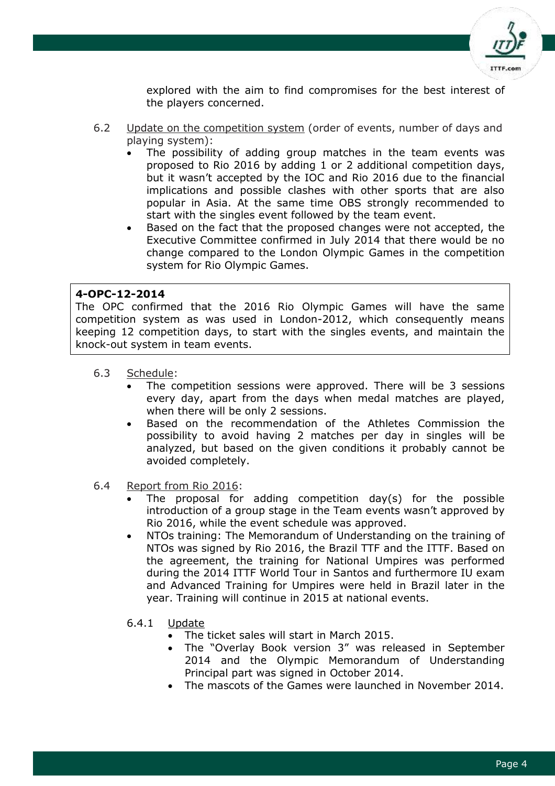

explored with the aim to find compromises for the best interest of the players concerned.

- 6.2 Update on the competition system (order of events, number of days and playing system):
	- The possibility of adding group matches in the team events was proposed to Rio 2016 by adding 1 or 2 additional competition days, but it wasn't accepted by the IOC and Rio 2016 due to the financial implications and possible clashes with other sports that are also popular in Asia. At the same time OBS strongly recommended to start with the singles event followed by the team event.
	- Based on the fact that the proposed changes were not accepted, the Executive Committee confirmed in July 2014 that there would be no change compared to the London Olympic Games in the competition system for Rio Olympic Games.

#### **4-OPC-12-2014**

The OPC confirmed that the 2016 Rio Olympic Games will have the same competition system as was used in London-2012, which consequently means keeping 12 competition days, to start with the singles events, and maintain the knock-out system in team events.

- 6.3 Schedule:
	- The competition sessions were approved. There will be 3 sessions every day, apart from the days when medal matches are played, when there will be only 2 sessions.
	- Based on the recommendation of the Athletes Commission the possibility to avoid having 2 matches per day in singles will be analyzed, but based on the given conditions it probably cannot be avoided completely.
- 6.4 Report from Rio 2016:
	- The proposal for adding competition day(s) for the possible introduction of a group stage in the Team events wasn't approved by Rio 2016, while the event schedule was approved.
	- NTOs training: The Memorandum of Understanding on the training of NTOs was signed by Rio 2016, the Brazil TTF and the ITTF. Based on the agreement, the training for National Umpires was performed during the 2014 ITTF World Tour in Santos and furthermore IU exam and Advanced Training for Umpires were held in Brazil later in the year. Training will continue in 2015 at national events.
	- 6.4.1 Update
		- The ticket sales will start in March 2015.
		- The "Overlay Book version 3" was released in September 2014 and the Olympic Memorandum of Understanding Principal part was signed in October 2014.
		- The mascots of the Games were launched in November 2014.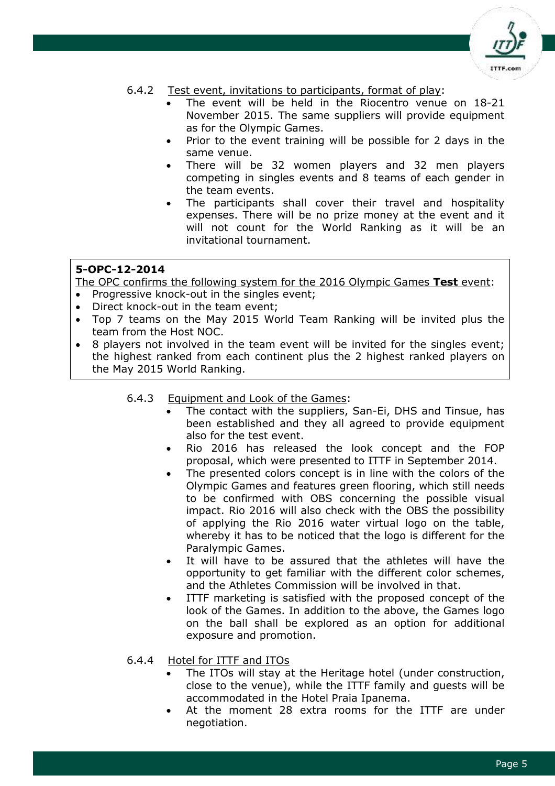

#### 6.4.2 Test event, invitations to participants, format of play:

- The event will be held in the Riocentro venue on 18-21 November 2015. The same suppliers will provide equipment as for the Olympic Games.
- Prior to the event training will be possible for 2 days in the same venue.
- There will be 32 women players and 32 men players competing in singles events and 8 teams of each gender in the team events.
- The participants shall cover their travel and hospitality expenses. There will be no prize money at the event and it will not count for the World Ranking as it will be an invitational tournament.

## **5-OPC-12-2014**

The OPC confirms the following system for the 2016 Olympic Games **Test** event:

- Progressive knock-out in the singles event;
- Direct knock-out in the team event;
- Top 7 teams on the May 2015 World Team Ranking will be invited plus the team from the Host NOC.
- 8 players not involved in the team event will be invited for the singles event; the highest ranked from each continent plus the 2 highest ranked players on the May 2015 World Ranking.

6.4.3 Equipment and Look of the Games:

- The contact with the suppliers, San-Ei, DHS and Tinsue, has been established and they all agreed to provide equipment also for the test event.
- Rio 2016 has released the look concept and the FOP proposal, which were presented to ITTF in September 2014.
- The presented colors concept is in line with the colors of the Olympic Games and features green flooring, which still needs to be confirmed with OBS concerning the possible visual impact. Rio 2016 will also check with the OBS the possibility of applying the Rio 2016 water virtual logo on the table, whereby it has to be noticed that the logo is different for the Paralympic Games.
- It will have to be assured that the athletes will have the opportunity to get familiar with the different color schemes, and the Athletes Commission will be involved in that.
- ITTF marketing is satisfied with the proposed concept of the look of the Games. In addition to the above, the Games logo on the ball shall be explored as an option for additional exposure and promotion.
- 6.4.4 Hotel for ITTF and ITOs
	- The ITOs will stay at the Heritage hotel (under construction, close to the venue), while the ITTF family and guests will be accommodated in the Hotel Praia Ipanema.
	- At the moment 28 extra rooms for the ITTF are under negotiation.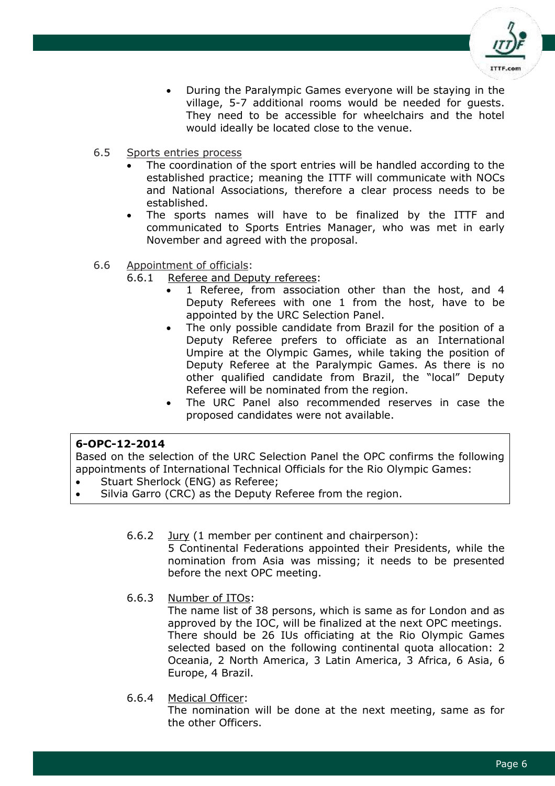

- During the Paralympic Games everyone will be staying in the village, 5-7 additional rooms would be needed for guests. They need to be accessible for wheelchairs and the hotel would ideally be located close to the venue.
- 6.5 Sports entries process
	- The coordination of the sport entries will be handled according to the established practice; meaning the ITTF will communicate with NOCs and National Associations, therefore a clear process needs to be established.
	- The sports names will have to be finalized by the ITTF and communicated to Sports Entries Manager, who was met in early November and agreed with the proposal.
- 6.6 Appointment of officials:
	- 6.6.1 Referee and Deputy referees:
		- 1 Referee, from association other than the host, and 4 Deputy Referees with one 1 from the host, have to be appointed by the URC Selection Panel.
		- The only possible candidate from Brazil for the position of a Deputy Referee prefers to officiate as an International Umpire at the Olympic Games, while taking the position of Deputy Referee at the Paralympic Games. As there is no other qualified candidate from Brazil, the "local" Deputy Referee will be nominated from the region.
		- The URC Panel also recommended reserves in case the proposed candidates were not available.

#### **6-OPC-12-2014**

Based on the selection of the URC Selection Panel the OPC confirms the following appointments of International Technical Officials for the Rio Olympic Games:

- Stuart Sherlock (ENG) as Referee;
- Silvia Garro (CRC) as the Deputy Referee from the region.
	- 6.6.2 Jury (1 member per continent and chairperson):

5 Continental Federations appointed their Presidents, while the nomination from Asia was missing; it needs to be presented before the next OPC meeting.

6.6.3 Number of ITOs:

The name list of 38 persons, which is same as for London and as approved by the IOC, will be finalized at the next OPC meetings. There should be 26 IUs officiating at the Rio Olympic Games selected based on the following continental quota allocation: 2 Oceania, 2 North America, 3 Latin America, 3 Africa, 6 Asia, 6 Europe, 4 Brazil.

6.6.4 Medical Officer:

The nomination will be done at the next meeting, same as for the other Officers.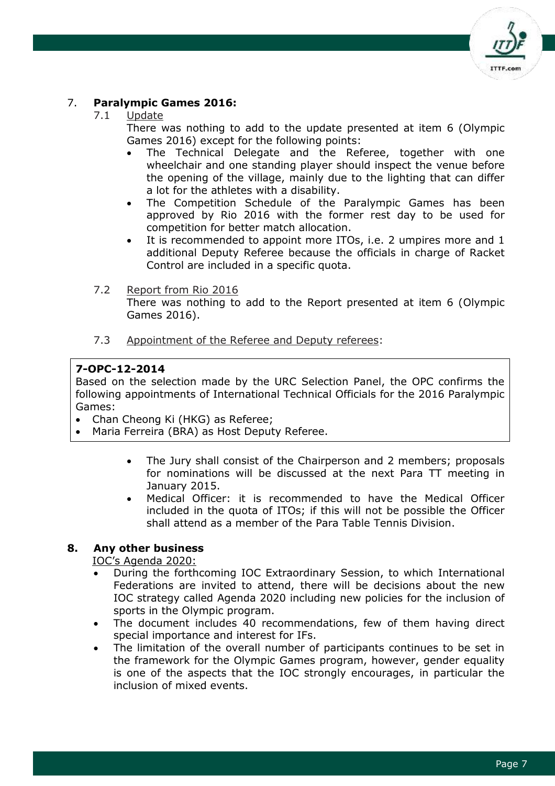

## 7. **Paralympic Games 2016:**

## 7.1 Update

There was nothing to add to the update presented at item 6 (Olympic Games 2016) except for the following points:

- The Technical Delegate and the Referee, together with one wheelchair and one standing player should inspect the venue before the opening of the village, mainly due to the lighting that can differ a lot for the athletes with a disability.
- The Competition Schedule of the Paralympic Games has been approved by Rio 2016 with the former rest day to be used for competition for better match allocation.
- It is recommended to appoint more ITOs, i.e. 2 umpires more and 1 additional Deputy Referee because the officials in charge of Racket Control are included in a specific quota.
- 7.2 Report from Rio 2016 There was nothing to add to the Report presented at item 6 (Olympic Games 2016).
- 7.3 Appointment of the Referee and Deputy referees:

# **7-OPC-12-2014**

Based on the selection made by the URC Selection Panel, the OPC confirms the following appointments of International Technical Officials for the 2016 Paralympic Games:

- Chan Cheong Ki (HKG) as Referee;
- Maria Ferreira (BRA) as Host Deputy Referee.
	- The Jury shall consist of the Chairperson and 2 members; proposals for nominations will be discussed at the next Para TT meeting in January 2015.
	- Medical Officer: it is recommended to have the Medical Officer included in the quota of ITOs; if this will not be possible the Officer shall attend as a member of the Para Table Tennis Division.

# **8. Any other business**

IOC's Agenda 2020:

- During the forthcoming IOC Extraordinary Session, to which International Federations are invited to attend, there will be decisions about the new IOC strategy called Agenda 2020 including new policies for the inclusion of sports in the Olympic program.
- The document includes 40 recommendations, few of them having direct special importance and interest for IFs.
- The limitation of the overall number of participants continues to be set in the framework for the Olympic Games program, however, gender equality is one of the aspects that the IOC strongly encourages, in particular the inclusion of mixed events.